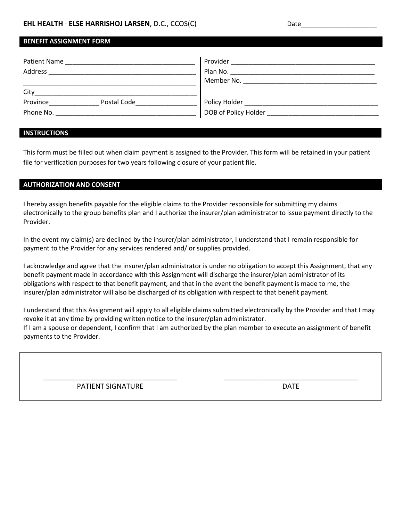## **EHL HEALTH** · **ELSE HARRISHOJ LARSEN**, D.C., CCOS(C) Date\_\_\_\_\_\_\_\_\_\_\_\_\_\_\_\_\_\_\_\_\_\_\_Date\_

# **BENEFIT ASSIGNMENT FORM** Patient Name \_\_\_\_\_\_\_\_\_\_\_\_\_\_\_\_\_\_\_\_\_\_\_\_\_\_\_\_\_\_\_\_\_\_\_\_ Provider \_\_\_\_\_\_\_\_\_\_\_\_\_\_\_\_\_\_\_\_\_\_\_\_\_\_\_\_\_\_\_\_\_\_\_\_\_\_\_\_

| <b>FIUVIUEI</b>      |
|----------------------|
| Plan No.             |
| Member No.           |
|                      |
| Policy Holder        |
| DOB of Policy Holder |
|                      |

### **INSTRUCTIONS**

This form must be filled out when claim payment is assigned to the Provider. This form will be retained in your patient file for verification purposes for two years following closure of your patient file.

### **AUTHORIZATION AND CONSENT**

I hereby assign benefits payable for the eligible claims to the Provider responsible for submitting my claims electronically to the group benefits plan and I authorize the insurer/plan administrator to issue payment directly to the Provider.

In the event my claim(s) are declined by the insurer/plan administrator, I understand that I remain responsible for payment to the Provider for any services rendered and/ or supplies provided.

I acknowledge and agree that the insurer/plan administrator is under no obligation to accept this Assignment, that any benefit payment made in accordance with this Assignment will discharge the insurer/plan administrator of its obligations with respect to that benefit payment, and that in the event the benefit payment is made to me, the insurer/plan administrator will also be discharged of its obligation with respect to that benefit payment.

I understand that this Assignment will apply to all eligible claims submitted electronically by the Provider and that I may revoke it at any time by providing written notice to the insurer/plan administrator. If I am a spouse or dependent, I confirm that I am authorized by the plan member to execute an assignment of benefit payments to the Provider.

\_\_\_\_\_\_\_\_\_\_\_\_\_\_\_\_\_\_\_\_\_\_\_\_\_\_\_\_\_\_\_\_\_\_ PATIENT SIGNATURE

\_\_\_\_\_\_\_\_\_\_\_\_\_\_\_\_\_\_\_\_\_\_\_\_\_\_\_\_\_\_\_\_\_\_ DATE